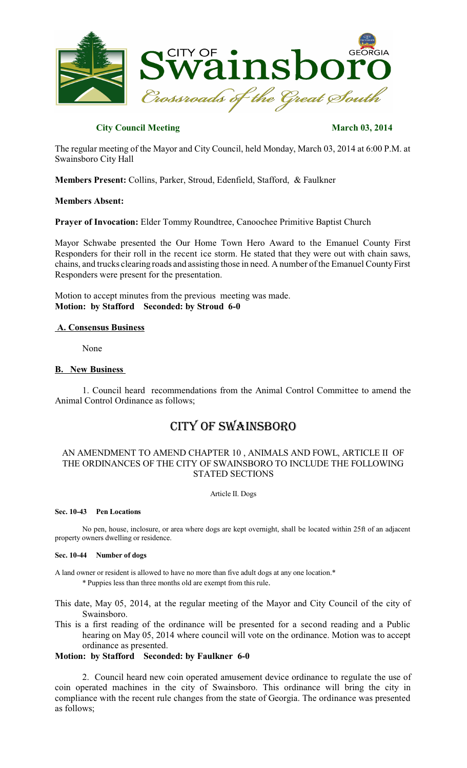

## **City Council Meeting March 03, 2014**

The regular meeting of the Mayor and City Council, held Monday, March 03, 2014 at 6:00 P.M. at Swainsboro City Hall

**Members Present:** Collins, Parker, Stroud, Edenfield, Stafford, & Faulkner

## **Members Absent:**

**Prayer of Invocation:** Elder Tommy Roundtree, Canoochee Primitive Baptist Church

Mayor Schwabe presented the Our Home Town Hero Award to the Emanuel County First Responders for their roll in the recent ice storm. He stated that they were out with chain saws, chains, and trucks clearing roads and assisting those in need. A number of the Emanuel County First Responders were present for the presentation.

Motion to accept minutes from the previous meeting was made. **Motion: by Stafford Seconded: by Stroud 6-0**

## **A. Consensus Business**

None

## **B. New Business**

1. Council heard recommendations from the Animal Control Committee to amend the Animal Control Ordinance as follows;

# CITY OF SWAINSBORO

## AN AMENDMENT TO AMEND CHAPTER 10 , ANIMALS AND FOWL, ARTICLE II OF THE ORDINANCES OF THE CITY OF SWAINSBORO TO INCLUDE THE FOLLOWING STATED SECTIONS

Article II. Dogs

#### **Sec. 10-43 Pen Locations**

No pen, house, inclosure, or area where dogs are kept overnight, shall be located within 25ft of an adjacent property owners dwelling or residence.

#### **Sec. 10-44 Number of dogs**

A land owner or resident is allowed to have no more than five adult dogs at any one location.\* \* Puppies less than three months old are exempt from this rule.

This date, May 05, 2014, at the regular meeting of the Mayor and City Council of the city of Swainsboro.

This is a first reading of the ordinance will be presented for a second reading and a Public hearing on May 05, 2014 where council will vote on the ordinance. Motion was to accept ordinance as presented.

## **Motion: by Stafford Seconded: by Faulkner 6-0**

2. Council heard new coin operated amusement device ordinance to regulate the use of coin operated machines in the city of Swainsboro. This ordinance will bring the city in compliance with the recent rule changes from the state of Georgia. The ordinance was presented as follows;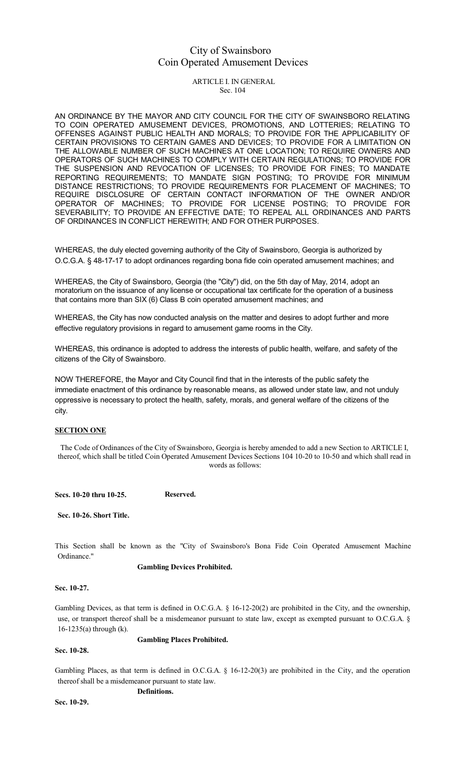## City of Swainsboro Coin Operated Amusement Devices

ARTICLE I. IN GENERAL Sec. 104

AN ORDINANCE BY THE MAYOR AND CITY COUNCIL FOR THE CITY OF SWAINSBORO RELATING TO COIN OPERATED AMUSEMENT DEVICES, PROMOTIONS, AND LOTTERIES; RELATING TO OFFENSES AGAINST PUBLIC HEALTH AND MORALS; TO PROVIDE FOR THE APPLICABILITY OF CERTAIN PROVISIONS TO CERTAIN GAMES AND DEVICES; TO PROVIDE FOR A LIMITATION ON THE ALLOWABLE NUMBER OF SUCH MACHINES AT ONE LOCATION; TO REQUIRE OWNERS AND OPERATORS OF SUCH MACHINES TO COMPLY WITH CERTAIN REGULATIONS; TO PROVIDE FOR THE SUSPENSION AND REVOCATION OF LICENSES; TO PROVIDE FOR FINES; TO MANDATE REPORTING REQUIREMENTS; TO MANDATE SIGN POSTING; TO PROVIDE FOR MINIMUM DISTANCE RESTRICTIONS; TO PROVIDE REQUIREMENTS FOR PLACEMENT OF MACHINES; TO REQUIRE DISCLOSURE OF CERTAIN CONTACT INFORMATION OF THE OWNER AND/OR OPERATOR OF MACHINES; TO PROVIDE FOR LICENSE POSTING; TO PROVIDE FOR SEVERABILITY; TO PROVIDE AN EFFECTIVE DATE; TO REPEAL ALL ORDINANCES AND PARTS OF ORDINANCES IN CONFLICT HEREWITH; AND FOR OTHER PURPOSES.

WHEREAS, the duly elected governing authority of the City of Swainsboro, Georgia is authorized by O.C.G.A. § 48-17-17 to adopt ordinances regarding bona fide coin operated amusement machines; and

WHEREAS, the City of Swainsboro, Georgia (the "City") did, on the 5th day of May, 2014, adopt an moratorium on the issuance of any license or occupational tax certificate for the operation of a business that contains more than SIX (6) Class B coin operated amusement machines; and

WHEREAS, the City has now conducted analysis on the matter and desires to adopt further and more effective regulatory provisions in regard to amusement game rooms in the City.

WHEREAS, this ordinance is adopted to address the interests of public health, welfare, and safety of the citizens of the City of Swainsboro.

NOW THEREFORE, the Mayor and City Council find that in the interests of the public safety the immediate enactment of this ordinance by reasonable means, as allowed under state law, and not unduly oppressive is necessary to protect the health, safety, morals, and general welfare of the citizens of the city.

#### **SECTION ONE**

The Code of Ordinances of the City of Swainsboro, Georgia is hereby amended to add a new Section to ARTICLE I, thereof, which shall be titled Coin Operated Amusement Devices Sections 104 10-20 to 10-50 and which shall read in words as follows:

**Secs. 10-20 thru 10-25. Reserved.**

**Sec. 10-26. Short Title.**

This Section shall be known as the "City of Swainsboro's Bona Fide Coin Operated Amusement Machine Ordinance."

**Gambling Devices Prohibited.**

**Sec. 10-27.**

Gambling Devices, as that term is defined in O.C.G.A. § 16-12-20(2) are prohibited in the City, and the ownership, use, or transport thereof shall be a misdemeanor pursuant to state law, except as exempted pursuant to O.C.G.A. § 16-1235(a) through (k).

**Gambling Places Prohibited.**

**Sec. 10-28.**

Gambling Places, as that term is defined in O.C.G.A. § 16-12-20(3) are prohibited in the City, and the operation thereof shall be a misdemeanor pursuant to state law.

**Definitions.**

**Sec. 10-29.**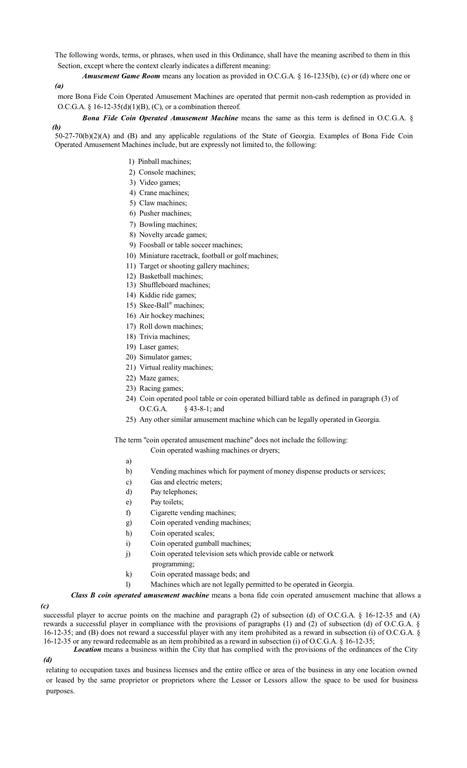The following words, terms, or phrases, when used in this Ordinance, shall have the meaning ascribed to them in this Section, except where the context clearly indicates a different meaning:

*(a) Amusement Game Room* means any location as provided in O.C.G.A. § 16-1235(b), (c) or (d) where one or

more Bona Fide Coin Operated Amusement Machines are operated that permit non-cash redemption as provided in O.C.G.A. §  $16-12-35(d)(1)(B)$ , (C), or a combination thereof.

*Bona Fide Coin Operated Amusement Machine* means the same as this term is defined in O.C.G.A. §

*(b)* 50-27-70(b)(2)(A) and (B) and any applicable regulations of the State of Georgia. Examples of Bona Fide Coin Operated Amusement Machines include, but are expressly not limited to, the following:

- 1) Pinball machines;
- 2) Console machines;
- 3) Video games;
- 4) Crane machines;
- 5) Claw machines;
- 6) Pusher machines;
- 7) Bowling machines;
- 8) Novelty arcade games;
- 9) Foosball or table soccer machines;
- 10) Miniature racetrack, football or golf machines;
- 11) Target or shooting gallery machines;
- 12) Basketball machines;
- 13) Shuffleboard machines;
- 14) Kiddie ride games;
- 15) Skee-Ball® machines;
- 16) Air hockey machines;
- 17) Roll down machines;
- 18) Trivia machines;
- 19) Laser games;
- 20) Simulator games;
- 21) Virtual reality machines;
- 22) Maze games;
- 23) Racing games;
- 24) Coin operated pool table or coin operated billiard table as defined in paragraph (3) of O.C.G.A. § 43-8-1; and
- 25) Any other similar amusement machine which can be legally operated in Georgia.

The term "coin operated amusement machine" does not include the following:

Coin operated washing machines or dryers;

- a)
- b) Vending machines which for payment of money dispense products or services;
- c) Gas and electric meters;
- d) Pay telephones;
- e) Pay toilets;
- f) Cigarette vending machines;
- g) Coin operated vending machines;
- h) Coin operated scales;
- i) Coin operated gumball machines;
- j) Coin operated television sets which provide cable or network
	- programming;
- k) Coin operated massage beds; and
- l) Machines which are not legally permitted to be operated in Georgia.

*Class B coin operated amusement machine* means a bona fide coin operated amusement machine that allows a

#### *(c)*

*(d)*

successful player to accrue points on the machine and paragraph (2) of subsection (d) of O.C.G.A. § 16-12-35 and (A) rewards a successful player in compliance with the provisions of paragraphs (1) and (2) of subsection (d) of O.C.G.A. § 16-12-35; and (B) does not reward a successful player with any item prohibited as a reward in subsection (i) of O.C.G.A. § 16-12-35 or any reward redeemable as an item prohibited as a reward in subsection (i) of O.C.G.A. § 16-12-35;

*Location* means a business within the City that has complied with the provisions of the ordinances of the City

relating to occupation taxes and business licenses and the entire office or area of the business in any one location owned or leased by the same proprietor or proprietors where the Lessor or Lessors allow the space to be used for business purposes.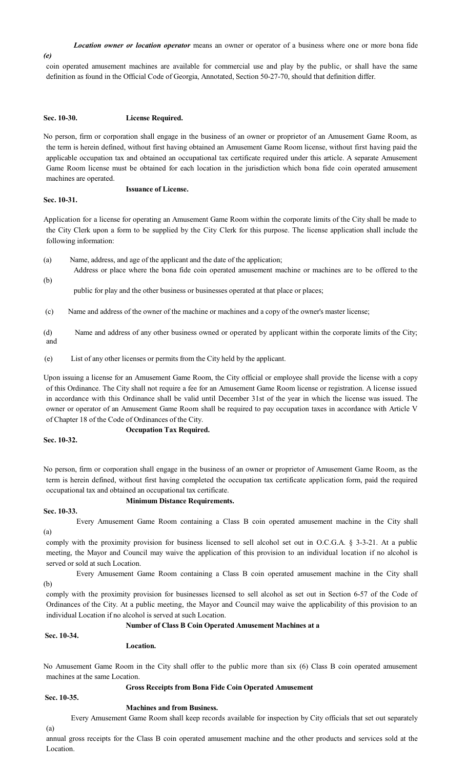#### *Location owner or location operator* means an owner or operator of a business where one or more bona fide

#### *(e)*

coin operated amusement machines are available for commercial use and play by the public, or shall have the same definition as found in the Official Code of Georgia, Annotated, Section 50-27-70, should that definition differ.

#### **Sec. 10-30. License Required.**

No person, firm or corporation shall engage in the business of an owner or proprietor of an Amusement Game Room, as the term is herein defined, without first having obtained an Amusement Game Room license, without first having paid the applicable occupation tax and obtained an occupational tax certificate required under this article. A separate Amusement Game Room license must be obtained for each location in the jurisdiction which bona fide coin operated amusement machines are operated.

#### **Issuance of License.**

## **Sec. 10-31.**

Application for a license for operating an Amusement Game Room within the corporate limits of the City shall be made to the City Clerk upon a form to be supplied by the City Clerk for this purpose. The license application shall include the following information:

- (a) Name, address, and age of the applicant and the date of the application;
- (b) Address or place where the bona fide coin operated amusement machine or machines are to be offered to the

public for play and the other business or businesses operated at that place or places;

- (c) Name and address of the owner of the machine or machines and a copy of the owner's master license;
- (d) Name and address of any other business owned or operated by applicant within the corporate limits of the City; and
- (e) List of any other licenses or permits from the City held by the applicant.

Upon issuing a license for an Amusement Game Room, the City official or employee shall provide the license with a copy of this Ordinance. The City shall not require a fee for an Amusement Game Room license or registration. A license issued in accordance with this Ordinance shall be valid until December 31st of the year in which the license was issued. The owner or operator of an Amusement Game Room shall be required to pay occupation taxes in accordance with Article V of Chapter 18 of the Code of Ordinances of the City.

#### **Occupation Tax Required.**

**Sec. 10-32.**

No person, firm or corporation shall engage in the business of an owner or proprietor of Amusement Game Room, as the term is herein defined, without first having completed the occupation tax certificate application form, paid the required occupational tax and obtained an occupational tax certificate.

#### **Minimum Distance Requirements.**

#### **Sec. 10-33.**

(a)

Every Amusement Game Room containing a Class B coin operated amusement machine in the City shall

comply with the proximity provision for business licensed to sell alcohol set out in O.C.G.A. § 3-3-21. At a public meeting, the Mayor and Council may waive the application of this provision to an individual location if no alcohol is served or sold at such Location.

(b) Every Amusement Game Room containing a Class B coin operated amusement machine in the City shall

comply with the proximity provision for businesses licensed to sell alcohol as set out in Section 6-57 of the Code of Ordinances of the City. At a public meeting, the Mayor and Council may waive the applicability of this provision to an individual Location if no alcohol is served at such Location.

### **Number of Class B Coin Operated Amusement Machines at a**

#### **Sec. 10-34.**

#### **Location.**

No Amusement Game Room in the City shall offer to the public more than six (6) Class B coin operated amusement machines at the same Location.

## **Gross Receipts from Bona Fide Coin Operated Amusement**

## **Sec. 10-35.**

## **Machines and from Business.**

(a) Every Amusement Game Room shall keep records available for inspection by City officials that set out separately

annual gross receipts for the Class B coin operated amusement machine and the other products and services sold at the Location.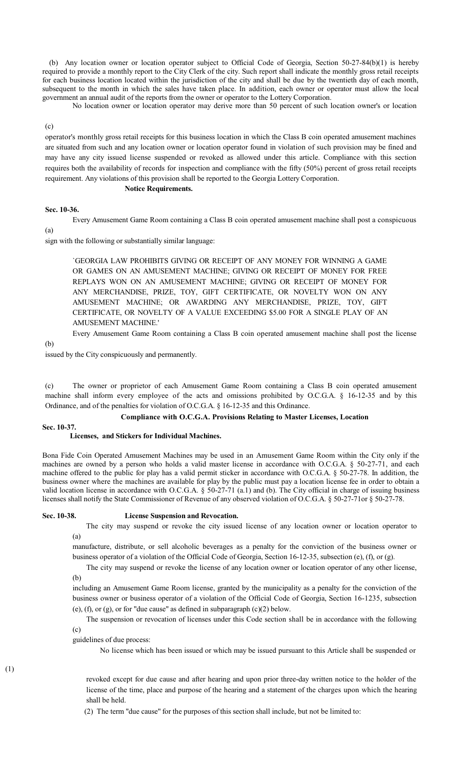(b) Any location owner or location operator subject to Official Code of Georgia, Section 50-27-84(b)(1) is hereby required to provide a monthly report to the City Clerk of the city. Such report shall indicate the monthly gross retail receipts for each business location located within the jurisdiction of the city and shall be due by the twentieth day of each month, subsequent to the month in which the sales have taken place. In addition, each owner or operator must allow the local government an annual audit of the reports from the owner or operator to the Lottery Corporation.

No location owner or location operator may derive more than 50 percent of such location owner's or location

(c)

operator's monthly gross retail receipts for this business location in which the Class B coin operated amusement machines are situated from such and any location owner or location operator found in violation of such provision may be fined and may have any city issued license suspended or revoked as allowed under this article. Compliance with this section requires both the availability of records for inspection and compliance with the fifty (50%) percent of gross retail receipts requirement. Any violations of this provision shall be reported to the Georgia Lottery Corporation.

#### **Notice Requirements.**

#### **Sec. 10-36.**

(a) Every Amusement Game Room containing a Class B coin operated amusement machine shall post a conspicuous

sign with the following or substantially similar language:

`GEORGIA LAW PROHIBITS GIVING OR RECEIPT OF ANY MONEY FOR WINNING A GAME OR GAMES ON AN AMUSEMENT MACHINE; GIVING OR RECEIPT OF MONEY FOR FREE REPLAYS WON ON AN AMUSEMENT MACHINE; GIVING OR RECEIPT OF MONEY FOR ANY MERCHANDISE, PRIZE, TOY, GIFT CERTIFICATE, OR NOVELTY WON ON ANY AMUSEMENT MACHINE; OR AWARDING ANY MERCHANDISE, PRIZE, TOY, GIFT CERTIFICATE, OR NOVELTY OF A VALUE EXCEEDING \$5.00 FOR A SINGLE PLAY OF AN AMUSEMENT MACHINE.'

Every Amusement Game Room containing a Class B coin operated amusement machine shall post the license

(b)

issued by the City conspicuously and permanently.

(c) The owner or proprietor of each Amusement Game Room containing a Class B coin operated amusement machine shall inform every employee of the acts and omissions prohibited by O.C.G.A. § 16-12-35 and by this Ordinance, and of the penalties for violation of O.C.G.A. § 16-12-35 and this Ordinance.

#### **Compliance with O.C.G.A. Provisions Relating to Master Licenses, Location**

## **Sec. 10-37.**

#### **Licenses, and Stickers for Individual Machines.**

Bona Fide Coin Operated Amusement Machines may be used in an Amusement Game Room within the City only if the machines are owned by a person who holds a valid master license in accordance with O.C.G.A. § 50-27-71, and each machine offered to the public for play has a valid permit sticker in accordance with O.C.G.A. § 50-27-78. In addition, the business owner where the machines are available for play by the public must pay a location license fee in order to obtain a valid location license in accordance with O.C.G.A. § 50-27-71 (a.1) and (b). The City official in charge of issuing business licenses shall notify the State Commissioner of Revenue of any observed violation of O.C.G.A. § 50-27-71or § 50-27-78.

#### **Sec. 10-38. License Suspension and Revocation.**

(a) The city may suspend or revoke the city issued license of any location owner or location operator to

manufacture, distribute, or sell alcoholic beverages as a penalty for the conviction of the business owner or business operator of a violation of the Official Code of Georgia, Section 16-12-35, subsection (e), (f), or (g).

(b) The city may suspend or revoke the license of any location owner or location operator of any other license,

including an Amusement Game Room license, granted by the municipality as a penalty for the conviction of the business owner or business operator of a violation of the Official Code of Georgia, Section 16-1235, subsection (e), (f), or (g), or for "due cause" as defined in subparagraph (c)(2) below.

(c) The suspension or revocation of licenses under this Code section shall be in accordance with the following

guidelines of due process:

No license which has been issued or which may be issued pursuant to this Article shall be suspended or

revoked except for due cause and after hearing and upon prior three-day written notice to the holder of the license of the time, place and purpose of the hearing and a statement of the charges upon which the hearing shall be held.

(2) The term "due cause" for the purposes of this section shall include, but not be limited to:

(1)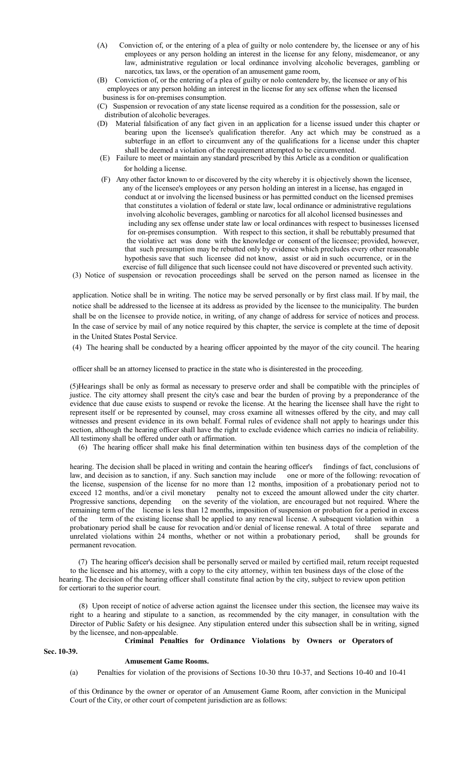- (A) Conviction of, or the entering of a plea of guilty or nolo contendere by, the licensee or any of his employees or any person holding an interest in the license for any felony, misdemeanor, or any law, administrative regulation or local ordinance involving alcoholic beverages, gambling or narcotics, tax laws, or the operation of an amusement game room,
- (B) Conviction of, or the entering of a plea of guilty or nolo contendere by, the licensee or any of his employees or any person holding an interest in the license for any sex offense when the licensed business is for on-premises consumption.
- (C) Suspension or revocation of any state license required as a condition for the possession, sale or distribution of alcoholic beverages.
- (D) Material falsification of any fact given in an application for a license issued under this chapter or bearing upon the licensee's qualification therefor. Any act which may be construed as a subterfuge in an effort to circumvent any of the qualifications for a license under this chapter shall be deemed a violation of the requirement attempted to be circumvented.
- (E) Failure to meet or maintain any standard prescribed by this Article as a condition or qualification for holding a license.
- (F) Any other factor known to or discovered by the city whereby it is objectively shown the licensee, any of the licensee's employees or any person holding an interest in a license, has engaged in conduct at or involving the licensed business or has permitted conduct on the licensed premises that constitutes a violation of federal or state law, local ordinance or administrative regulations involving alcoholic beverages, gambling or narcotics for all alcohol licensed businesses and including any sex offense under state law or local ordinances with respect to businesses licensed for on-premises consumption. With respect to this section, it shall be rebuttably presumed that the violative act was done with the knowledge or consent of the licensee; provided, however, that such presumption may be rebutted only by evidence which precludes every other reasonable hypothesis save that such licensee did not know, assist or aid in such occurrence, or in the exercise of full diligence that such licensee could not have discovered or prevented such activity.

(3) Notice of suspension or revocation proceedings shall be served on the person named as licensee in the

application. Notice shall be in writing. The notice may be served personally or by first class mail. If by mail, the notice shall be addressed to the licensee at its address as provided by the licensee to the municipality. The burden shall be on the licensee to provide notice, in writing, of any change of address for service of notices and process. In the case of service by mail of any notice required by this chapter, the service is complete at the time of deposit in the United States Postal Service.

(4) The hearing shall be conducted by a hearing officer appointed by the mayor of the city council. The hearing

officer shall be an attorney licensed to practice in the state who is disinterested in the proceeding.

(5)Hearings shall be only as formal as necessary to preserve order and shall be compatible with the principles of justice. The city attorney shall present the city's case and bear the burden of proving by a preponderance of the evidence that due cause exists to suspend or revoke the license. At the hearing the licensee shall have the right to represent itself or be represented by counsel, may cross examine all witnesses offered by the city, and may call witnesses and present evidence in its own behalf. Formal rules of evidence shall not apply to hearings under this section, although the hearing officer shall have the right to exclude evidence which carries no indicia of reliability. All testimony shall be offered under oath or affirmation.

(6) The hearing officer shall make his final determination within ten business days of the completion of the

hearing. The decision shall be placed in writing and contain the hearing officer's findings of fact, conclusions of law, and decision as to sanction, if any. Such sanction may include one or more of the following: revocation of the license, suspension of the license for no more than 12 months, imposition of a probationary period not to exceed 12 months, and/or a civil monetary penalty not to exceed the amount allowed under the city charter. Progressive sanctions, depending on the severity of the violation, are encouraged but not required. Where the remaining term of the license is less than 12 months, imposition of suspension or probation for a period in excess of the term of the existing license shall be applied to any renewal license. A subsequent violation within a probationary period shall be cause for revocation and/or denial of license renewal. A total of three separate and unrelated violations within 24 months, whether or not within a probationary period, shall be grounds for permanent revocation.

 (7) The hearing officer's decision shall be personally served or mailed by certified mail, return receipt requested to the licensee and his attorney, with a copy to the city attorney, within ten business days of the close of the hearing. The decision of the hearing officer shall constitute final action by the city, subject to review upon petition for certiorari to the superior court.

(8) Upon receipt of notice of adverse action against the licensee under this section, the licensee may waive its right to a hearing and stipulate to a sanction, as recommended by the city manager, in consultation with the Director of Public Safety or his designee. Any stipulation entered under this subsection shall be in writing, signed by the licensee, and non-appealable.

### **Criminal Penalties for Ordinance Violations by Owners or Operators of**

**Sec. 10-39.**

#### **Amusement Game Rooms.**

(a) Penalties for violation of the provisions of Sections 10-30 thru 10-37, and Sections 10-40 and 10-41

of this Ordinance by the owner or operator of an Amusement Game Room, after conviction in the Municipal Court of the City, or other court of competent jurisdiction are as follows: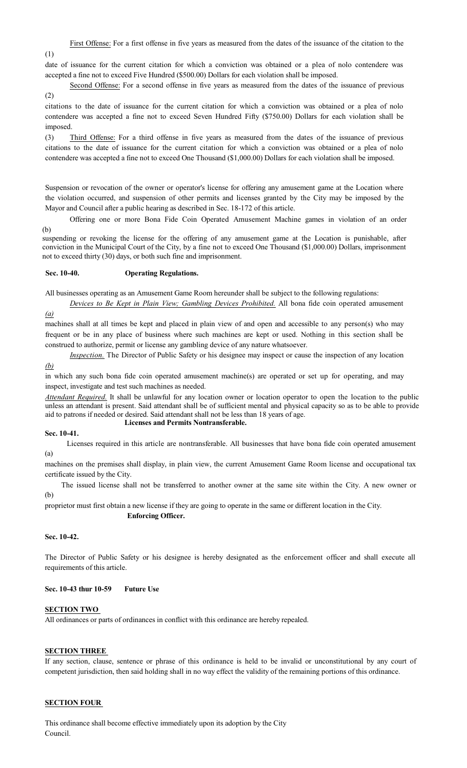First Offense: For a first offense in five years as measured from the dates of the issuance of the citation to the

(1)

date of issuance for the current citation for which a conviction was obtained or a plea of nolo contendere was accepted a fine not to exceed Five Hundred (\$500.00) Dollars for each violation shall be imposed.

(2) Second Offense: For a second offense in five years as measured from the dates of the issuance of previous

citations to the date of issuance for the current citation for which a conviction was obtained or a plea of nolo contendere was accepted a fine not to exceed Seven Hundred Fifty (\$750.00) Dollars for each violation shall be imposed.

(3) Third Offense: For a third offense in five years as measured from the dates of the issuance of previous citations to the date of issuance for the current citation for which a conviction was obtained or a plea of nolo contendere was accepted a fine not to exceed One Thousand (\$1,000.00) Dollars for each violation shall be imposed.

Suspension or revocation of the owner or operator's license for offering any amusement game at the Location where the violation occurred, and suspension of other permits and licenses granted by the City may be imposed by the Mayor and Council after a public hearing as described in Sec. 18-172 of this article.

(b) Offering one or more Bona Fide Coin Operated Amusement Machine games in violation of an order

suspending or revoking the license for the offering of any amusement game at the Location is punishable, after conviction in the Municipal Court of the City, by a fine not to exceed One Thousand (\$1,000.00) Dollars, imprisonment not to exceed thirty (30) days, or both such fine and imprisonment.

## **Sec. 10-40. Operating Regulations.**

All businesses operating as an Amusement Game Room hereunder shall be subject to the following regulations:

*(a) Devices to Be Kept in Plain View; Gambling Devices Prohibited.* All bona fide coin operated amusement

machines shall at all times be kept and placed in plain view of and open and accessible to any person(s) who may frequent or be in any place of business where such machines are kept or used. Nothing in this section shall be construed to authorize, permit or license any gambling device of any nature whatsoever.

*(b) Inspection.* The Director of Public Safety or his designee may inspect or cause the inspection of any location

in which any such bona fide coin operated amusement machine(s) are operated or set up for operating, and may inspect, investigate and test such machines as needed.

*Attendant Required.* It shall be unlawful for any location owner or location operator to open the location to the public unless an attendant is present. Said attendant shall be of sufficient mental and physical capacity so as to be able to provide aid to patrons if needed or desired. Said attendant shall not be less than 18 years of age. **Licenses and Permits Nontransferable.**

## **Sec. 10-41.**

(a) Licenses required in this article are nontransferable. All businesses that have bona fide coin operated amusement

machines on the premises shall display, in plain view, the current Amusement Game Room license and occupational tax certificate issued by the City.

(b) The issued license shall not be transferred to another owner at the same site within the City. A new owner or

proprietor must first obtain a new license if they are going to operate in the same or different location in the City.

**Enforcing Officer.**

#### **Sec. 10-42.**

The Director of Public Safety or his designee is hereby designated as the enforcement officer and shall execute all requirements of this article.

#### **Sec. 10-43 thur 10-59 Future Use**

## **SECTION TWO**

All ordinances or parts of ordinances in conflict with this ordinance are hereby repealed.

## **SECTION THREE**

If any section, clause, sentence or phrase of this ordinance is held to be invalid or unconstitutional by any court of competent jurisdiction, then said holding shall in no way effect the validity of the remaining portions of this ordinance.

## **SECTION FOUR**

This ordinance shall become effective immediately upon its adoption by the City Council.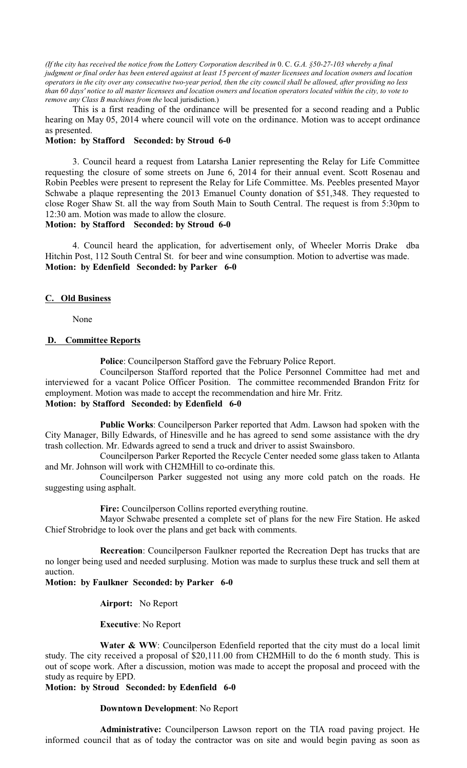*(If the city has received the notice from the Lottery Corporation described in* 0. C. *G.A. §50-27-103 whereby a final judgment or final order has been entered against at least 15 percent of master licensees and location owners and location operators in the city over any consecutive two-year period, then the city council shall be allowed, after providing no less than 60 days' notice to all master licensees and location owners and location operators located within the city, to vote to remove any Class B machines from the* local jurisdiction.)

This is a first reading of the ordinance will be presented for a second reading and a Public hearing on May 05, 2014 where council will vote on the ordinance. Motion was to accept ordinance as presented.

## **Motion: by Stafford Seconded: by Stroud 6-0**

3. Council heard a request from Latarsha Lanier representing the Relay for Life Committee requesting the closure of some streets on June 6, 2014 for their annual event. Scott Rosenau and Robin Peebles were present to represent the Relay for Life Committee. Ms. Peebles presented Mayor Schwabe a plaque representing the 2013 Emanuel County donation of \$51,348. They requested to close Roger Shaw St. all the way from South Main to South Central. The request is from 5:30pm to 12:30 am. Motion was made to allow the closure.

## **Motion: by Stafford Seconded: by Stroud 6-0**

4. Council heard the application, for advertisement only, of Wheeler Morris Drake dba Hitchin Post, 112 South Central St. for beer and wine consumption. Motion to advertise was made. **Motion: by Edenfield Seconded: by Parker 6-0**

## **C. Old Business**

None

## **D. Committee Reports**

**Police**: Councilperson Stafford gave the February Police Report.

Councilperson Stafford reported that the Police Personnel Committee had met and interviewed for a vacant Police Officer Position. The committee recommended Brandon Fritz for employment. Motion was made to accept the recommendation and hire Mr. Fritz. **Motion: by Stafford Seconded: by Edenfield 6-0**

**Public Works**: Councilperson Parker reported that Adm. Lawson had spoken with the City Manager, Billy Edwards, of Hinesville and he has agreed to send some assistance with the dry trash collection. Mr. Edwards agreed to send a truck and driver to assist Swainsboro.

Councilperson Parker Reported the Recycle Center needed some glass taken to Atlanta and Mr. Johnson will work with CH2MHill to co-ordinate this.

Councilperson Parker suggested not using any more cold patch on the roads. He suggesting using asphalt.

**Fire:** Councilperson Collins reported everything routine.

Mayor Schwabe presented a complete set of plans for the new Fire Station. He asked Chief Strobridge to look over the plans and get back with comments.

**Recreation**: Councilperson Faulkner reported the Recreation Dept has trucks that are no longer being used and needed surplusing. Motion was made to surplus these truck and sell them at auction.

**Motion: by Faulkner Seconded: by Parker 6-0**

**Airport:** No Report

**Executive**: No Report

Water & WW: Councilperson Edenfield reported that the city must do a local limit study. The city received a proposal of \$20,111.00 from CH2MHill to do the 6 month study. This is out of scope work. After a discussion, motion was made to accept the proposal and proceed with the study as require by EPD.

**Motion: by Stroud Seconded: by Edenfield 6-0**

**Downtown Development**: No Report

**Administrative:** Councilperson Lawson report on the TIA road paving project. He informed council that as of today the contractor was on site and would begin paving as soon as